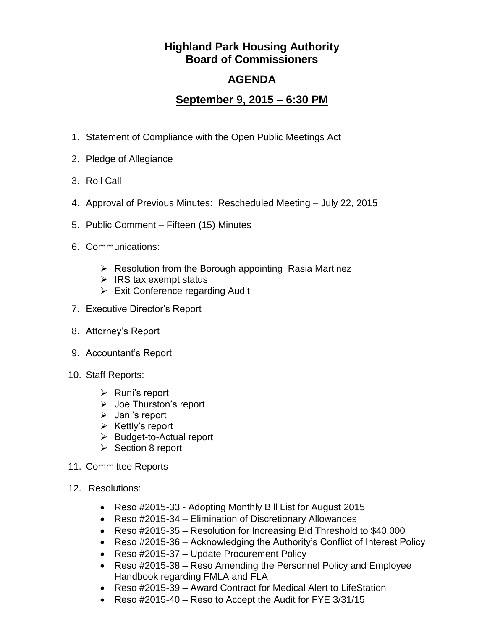## **Highland Park Housing Authority Board of Commissioners**

## **AGENDA**

## **September 9, 2015 – 6:30 PM**

- 1. Statement of Compliance with the Open Public Meetings Act
- 2. Pledge of Allegiance
- 3. Roll Call
- 4. Approval of Previous Minutes: Rescheduled Meeting July 22, 2015
- 5. Public Comment Fifteen (15) Minutes
- 6. Communications:
	- $\triangleright$  Resolution from the Borough appointing Rasia Martinez
	- $\triangleright$  IRS tax exempt status
	- $\triangleright$  Exit Conference regarding Audit
- 7. Executive Director's Report
- 8. Attorney's Report
- 9. Accountant's Report
- 10. Staff Reports:
	- $\triangleright$  Runi's report
	- Joe Thurston's report
	- $\triangleright$  Jani's report
	- $\triangleright$  Kettly's report
	- $\triangleright$  Budget-to-Actual report
	- $\triangleright$  Section 8 report
- 11. Committee Reports
- 12. Resolutions:
	- Reso #2015-33 Adopting Monthly Bill List for August 2015
	- Reso #2015-34 Elimination of Discretionary Allowances
	- Reso #2015-35 Resolution for Increasing Bid Threshold to \$40,000
	- Reso #2015-36 Acknowledging the Authority's Conflict of Interest Policy
	- Reso #2015-37 Update Procurement Policy
	- Reso #2015-38 Reso Amending the Personnel Policy and Employee Handbook regarding FMLA and FLA
	- Reso #2015-39 Award Contract for Medical Alert to LifeStation
	- Reso #2015-40 Reso to Accept the Audit for FYE 3/31/15